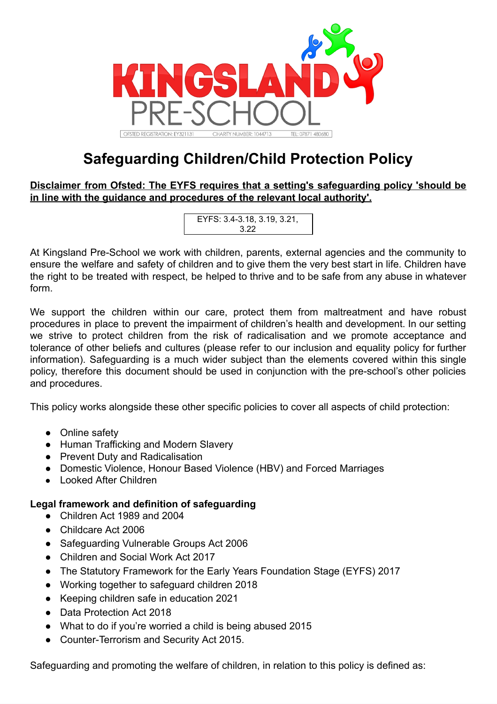

# **Safeguarding Children/Child Protection Policy**

**Disclaimer from Ofsted: The EYFS requires that a setting's safeguarding policy 'should be in line with the guidance and procedures of the relevant local authority'.**

| EYFS: 3.4-3.18, 3.19, 3.21, |  |
|-----------------------------|--|
| 3.22                        |  |

At Kingsland Pre-School we work with children, parents, external agencies and the community to ensure the welfare and safety of children and to give them the very best start in life. Children have the right to be treated with respect, be helped to thrive and to be safe from any abuse in whatever form.

We support the children within our care, protect them from maltreatment and have robust procedures in place to prevent the impairment of children's health and development. In our setting we strive to protect children from the risk of radicalisation and we promote acceptance and tolerance of other beliefs and cultures (please refer to our inclusion and equality policy for further information). Safeguarding is a much wider subject than the elements covered within this single policy, therefore this document should be used in conjunction with the pre-school's other policies and procedures.

This policy works alongside these other specific policies to cover all aspects of child protection:

- Online safety
- Human Trafficking and Modern Slavery
- Prevent Duty and Radicalisation
- Domestic Violence, Honour Based Violence (HBV) and Forced Marriages
- Looked After Children

# **Legal framework and definition of safeguarding**

- Children Act 1989 and 2004
- Childcare Act 2006
- Safeguarding Vulnerable Groups Act 2006
- Children and Social Work Act 2017
- The Statutory Framework for the Early Years Foundation Stage (EYFS) 2017
- Working together to safeguard children 2018
- Keeping children safe in education 2021
- Data Protection Act 2018
- What to do if you're worried a child is being abused 2015
- Counter-Terrorism and Security Act 2015.

Safeguarding and promoting the welfare of children, in relation to this policy is defined as: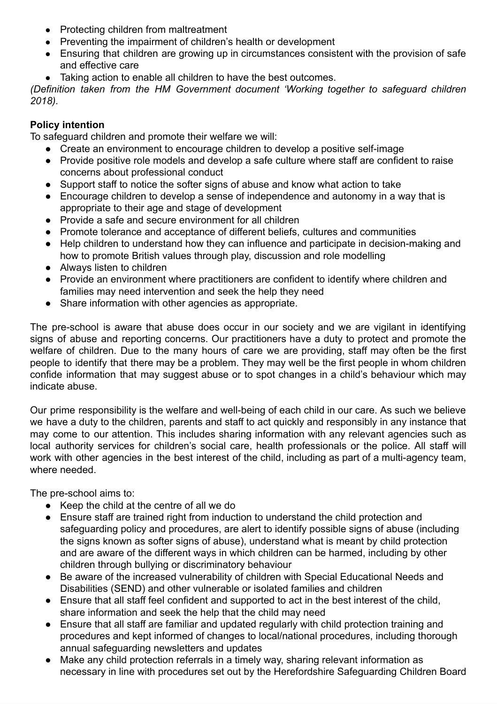- Protecting children from maltreatment
- Preventing the impairment of children's health or development
- Ensuring that children are growing up in circumstances consistent with the provision of safe and effective care
- Taking action to enable all children to have the best outcomes.

*(Definition taken from the HM Government document 'Working together to safeguard children 2018).*

# **Policy intention**

To safeguard children and promote their welfare we will:

- Create an environment to encourage children to develop a positive self-image
- Provide positive role models and develop a safe culture where staff are confident to raise concerns about professional conduct
- Support staff to notice the softer signs of abuse and know what action to take
- Encourage children to develop a sense of independence and autonomy in a way that is appropriate to their age and stage of development
- Provide a safe and secure environment for all children
- Promote tolerance and acceptance of different beliefs, cultures and communities
- Help children to understand how they can influence and participate in decision-making and how to promote British values through play, discussion and role modelling
- Always listen to children
- Provide an environment where practitioners are confident to identify where children and families may need intervention and seek the help they need
- Share information with other agencies as appropriate.

The pre-school is aware that abuse does occur in our society and we are vigilant in identifying signs of abuse and reporting concerns. Our practitioners have a duty to protect and promote the welfare of children. Due to the many hours of care we are providing, staff may often be the first people to identify that there may be a problem. They may well be the first people in whom children confide information that may suggest abuse or to spot changes in a child's behaviour which may indicate abuse.

Our prime responsibility is the welfare and well-being of each child in our care. As such we believe we have a duty to the children, parents and staff to act quickly and responsibly in any instance that may come to our attention. This includes sharing information with any relevant agencies such as local authority services for children's social care, health professionals or the police. All staff will work with other agencies in the best interest of the child, including as part of a multi-agency team, where needed

The pre-school aims to:

- Keep the child at the centre of all we do
- Ensure staff are trained right from induction to understand the child protection and safeguarding policy and procedures, are alert to identify possible signs of abuse (including the signs known as softer signs of abuse), understand what is meant by child protection and are aware of the different ways in which children can be harmed, including by other children through bullying or discriminatory behaviour
- Be aware of the increased vulnerability of children with Special Educational Needs and Disabilities (SEND) and other vulnerable or isolated families and children
- Ensure that all staff feel confident and supported to act in the best interest of the child, share information and seek the help that the child may need
- Ensure that all staff are familiar and updated regularly with child protection training and procedures and kept informed of changes to local/national procedures, including thorough annual safeguarding newsletters and updates
- Make any child protection referrals in a timely way, sharing relevant information as necessary in line with procedures set out by the Herefordshire Safeguarding Children Board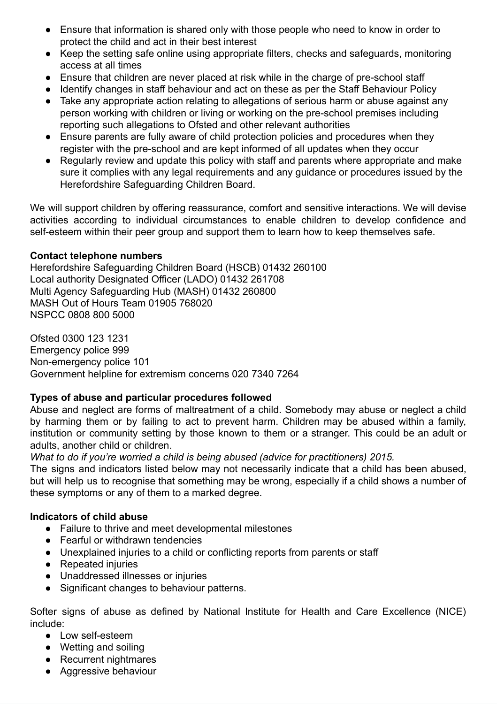- Ensure that information is shared only with those people who need to know in order to protect the child and act in their best interest
- Keep the setting safe online using appropriate filters, checks and safeguards, monitoring access at all times
- Ensure that children are never placed at risk while in the charge of pre-school staff
- Identify changes in staff behaviour and act on these as per the Staff Behaviour Policy
- Take any appropriate action relating to allegations of serious harm or abuse against any person working with children or living or working on the pre-school premises including reporting such allegations to Ofsted and other relevant authorities
- Ensure parents are fully aware of child protection policies and procedures when they register with the pre-school and are kept informed of all updates when they occur
- Regularly review and update this policy with staff and parents where appropriate and make sure it complies with any legal requirements and any guidance or procedures issued by the Herefordshire Safeguarding Children Board.

We will support children by offering reassurance, comfort and sensitive interactions. We will devise activities according to individual circumstances to enable children to develop confidence and self-esteem within their peer group and support them to learn how to keep themselves safe.

# **Contact telephone numbers**

Herefordshire Safeguarding Children Board (HSCB) 01432 260100 Local authority Designated Officer (LADO) 01432 261708 Multi Agency Safeguarding Hub (MASH) 01432 260800 MASH Out of Hours Team 01905 768020 NSPCC 0808 800 5000

Ofsted 0300 123 1231 Emergency police 999 Non-emergency police 101 Government helpline for extremism concerns 020 7340 7264

# **Types of abuse and particular procedures followed**

Abuse and neglect are forms of maltreatment of a child. Somebody may abuse or neglect a child by harming them or by failing to act to prevent harm. Children may be abused within a family, institution or community setting by those known to them or a stranger. This could be an adult or adults, another child or children.

*What to do if you're worried a child is being abused (advice for practitioners) 2015.*

The signs and indicators listed below may not necessarily indicate that a child has been abused, but will help us to recognise that something may be wrong, especially if a child shows a number of these symptoms or any of them to a marked degree.

## **Indicators of child abuse**

- Failure to thrive and meet developmental milestones
- Fearful or withdrawn tendencies
- Unexplained injuries to a child or conflicting reports from parents or staff
- Repeated injuries
- Unaddressed illnesses or injuries
- Significant changes to behaviour patterns.

Softer signs of abuse as defined by National Institute for Health and Care Excellence (NICE) include:

- Low self-esteem
- Wetting and soiling
- Recurrent nightmares
- Aggressive behaviour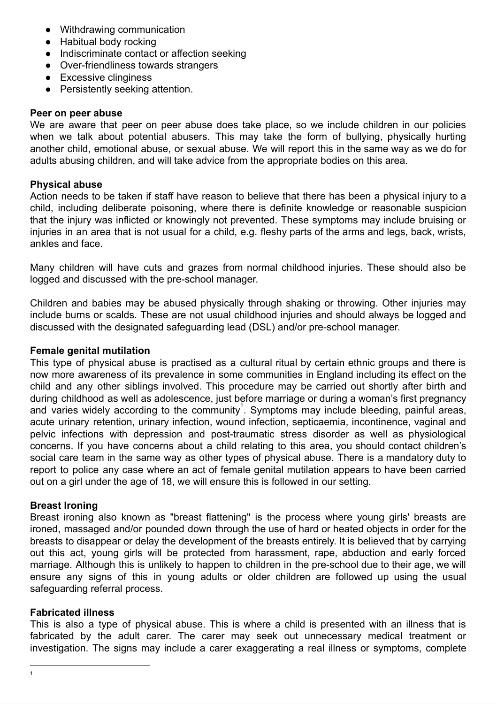- Withdrawing communication
- Habitual body rocking
- Indiscriminate contact or affection seeking
- Over-friendliness towards strangers
- Excessive clinginess
- Persistently seeking attention.

## **Peer on peer abuse**

We are aware that peer on peer abuse does take place, so we include children in our policies when we talk about potential abusers. This may take the form of bullying, physically hurting another child, emotional abuse, or sexual abuse. We will report this in the same way as we do for adults abusing children, and will take advice from the appropriate bodies on this area.

## **Physical abuse**

Action needs to be taken if staff have reason to believe that there has been a physical injury to a child, including deliberate poisoning, where there is definite knowledge or reasonable suspicion that the injury was inflicted or knowingly not prevented. These symptoms may include bruising or injuries in an area that is not usual for a child, e.g. fleshy parts of the arms and legs, back, wrists, ankles and face.

Many children will have cuts and grazes from normal childhood injuries. These should also be logged and discussed with the pre-school manager.

Children and babies may be abused physically through shaking or throwing. Other injuries may include burns or scalds. These are not usual childhood injuries and should always be logged and discussed with the designated safeguarding lead (DSL) and/or pre-school manager.

#### **Female genital mutilation**

This type of physical abuse is practised as a cultural ritual by certain ethnic groups and there is now more awareness of its prevalence in some communities in England including its effect on the child and any other siblings involved. This procedure may be carried out shortly after birth and during childhood as well as adolescence, just before marriage or during a woman's first pregnancy and varies widely according to the community<sup>1</sup>. Symptoms may include bleeding, painful areas, acute urinary retention, urinary infection, wound infection, septicaemia, incontinence, vaginal and pelvic infections with depression and post-traumatic stress disorder as well as physiological concerns. If you have concerns about a child relating to this area, you should contact children's social care team in the same way as other types of physical abuse. There is a mandatory duty to report to police any case where an act of female genital mutilation appears to have been carried out on a girl under the age of 18, we will ensure this is followed in our setting.

#### **Breast Ironing**

Breast ironing also known as "breast flattening" is the process where young girls' breasts are ironed, massaged and/or pounded down through the use of hard or heated objects in order for the breasts to disappear or delay the development of the breasts entirely. It is believed that by carrying out this act, young girls will be protected from harassment, rape, abduction and early forced marriage. Although this is unlikely to happen to children in the pre-school due to their age, we will ensure any signs of this in young adults or older children are followed up using the usual safeguarding referral process.

#### **Fabricated illness**

This is also a type of physical abuse. This is where a child is presented with an illness that is fabricated by the adult carer. The carer may seek out unnecessary medical treatment or investigation. The signs may include a carer exaggerating a real illness or symptoms, complete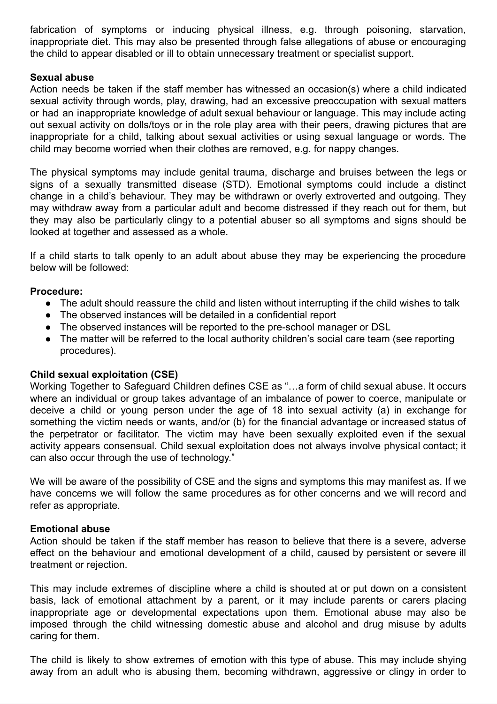fabrication of symptoms or inducing physical illness, e.g. through poisoning, starvation, inappropriate diet. This may also be presented through false allegations of abuse or encouraging the child to appear disabled or ill to obtain unnecessary treatment or specialist support.

## **Sexual abuse**

Action needs be taken if the staff member has witnessed an occasion(s) where a child indicated sexual activity through words, play, drawing, had an excessive preoccupation with sexual matters or had an inappropriate knowledge of adult sexual behaviour or language. This may include acting out sexual activity on dolls/toys or in the role play area with their peers, drawing pictures that are inappropriate for a child, talking about sexual activities or using sexual language or words. The child may become worried when their clothes are removed, e.g. for nappy changes.

The physical symptoms may include genital trauma, discharge and bruises between the legs or signs of a sexually transmitted disease (STD). Emotional symptoms could include a distinct change in a child's behaviour. They may be withdrawn or overly extroverted and outgoing. They may withdraw away from a particular adult and become distressed if they reach out for them, but they may also be particularly clingy to a potential abuser so all symptoms and signs should be looked at together and assessed as a whole.

If a child starts to talk openly to an adult about abuse they may be experiencing the procedure below will be followed:

## **Procedure:**

- The adult should reassure the child and listen without interrupting if the child wishes to talk
- The observed instances will be detailed in a confidential report
- The observed instances will be reported to the pre-school manager or DSL
- The matter will be referred to the local authority children's social care team (see reporting procedures).

#### **Child sexual exploitation (CSE)**

Working Together to Safeguard Children defines CSE as "…a form of child sexual abuse. It occurs where an individual or group takes advantage of an imbalance of power to coerce, manipulate or deceive a child or young person under the age of 18 into sexual activity (a) in exchange for something the victim needs or wants, and/or (b) for the financial advantage or increased status of the perpetrator or facilitator. The victim may have been sexually exploited even if the sexual activity appears consensual. Child sexual exploitation does not always involve physical contact; it can also occur through the use of technology."

We will be aware of the possibility of CSE and the signs and symptoms this may manifest as. If we have concerns we will follow the same procedures as for other concerns and we will record and refer as appropriate.

## **Emotional abuse**

Action should be taken if the staff member has reason to believe that there is a severe, adverse effect on the behaviour and emotional development of a child, caused by persistent or severe ill treatment or rejection.

This may include extremes of discipline where a child is shouted at or put down on a consistent basis, lack of emotional attachment by a parent, or it may include parents or carers placing inappropriate age or developmental expectations upon them. Emotional abuse may also be imposed through the child witnessing domestic abuse and alcohol and drug misuse by adults caring for them.

The child is likely to show extremes of emotion with this type of abuse. This may include shying away from an adult who is abusing them, becoming withdrawn, aggressive or clingy in order to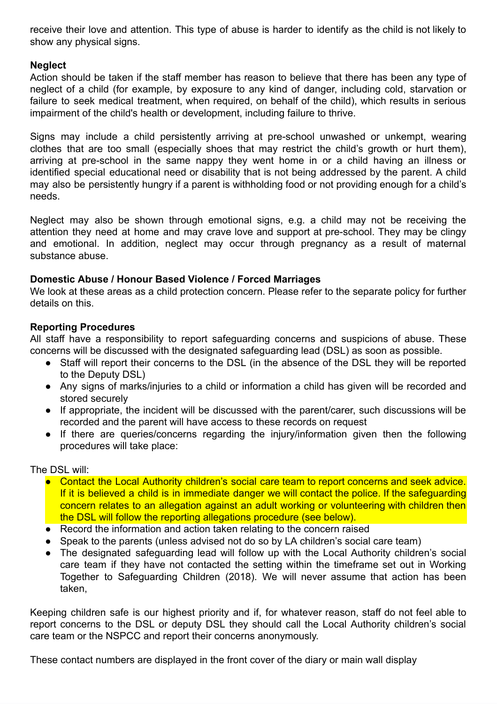receive their love and attention. This type of abuse is harder to identify as the child is not likely to show any physical signs.

# **Neglect**

Action should be taken if the staff member has reason to believe that there has been any type of neglect of a child (for example, by exposure to any kind of danger, including cold, starvation or failure to seek medical treatment, when required, on behalf of the child), which results in serious impairment of the child's health or development, including failure to thrive.

Signs may include a child persistently arriving at pre-school unwashed or unkempt, wearing clothes that are too small (especially shoes that may restrict the child's growth or hurt them), arriving at pre-school in the same nappy they went home in or a child having an illness or identified special educational need or disability that is not being addressed by the parent. A child may also be persistently hungry if a parent is withholding food or not providing enough for a child's needs.

Neglect may also be shown through emotional signs, e.g. a child may not be receiving the attention they need at home and may crave love and support at pre-school. They may be clingy and emotional. In addition, neglect may occur through pregnancy as a result of maternal substance abuse.

# **Domestic Abuse / Honour Based Violence / Forced Marriages**

We look at these areas as a child protection concern. Please refer to the separate policy for further details on this.

# **Reporting Procedures**

All staff have a responsibility to report safeguarding concerns and suspicions of abuse. These concerns will be discussed with the designated safeguarding lead (DSL) as soon as possible.

- Staff will report their concerns to the DSL (in the absence of the DSL they will be reported to the Deputy DSL)
- Any signs of marks/injuries to a child or information a child has given will be recorded and stored securely
- If appropriate, the incident will be discussed with the parent/carer, such discussions will be recorded and the parent will have access to these records on request
- If there are queries/concerns regarding the injury/information given then the following procedures will take place:

The DSL will:

- Contact the Local Authority children's social care team to report concerns and seek advice. If it is believed a child is in immediate danger we will contact the police. If the safeguarding concern relates to an allegation against an adult working or volunteering with children then the DSL will follow the reporting allegations procedure (see below).
- Record the information and action taken relating to the concern raised
- Speak to the parents (unless advised not do so by LA children's social care team)
- The designated safeguarding lead will follow up with the Local Authority children's social care team if they have not contacted the setting within the timeframe set out in Working Together to Safeguarding Children (2018). We will never assume that action has been taken,

Keeping children safe is our highest priority and if, for whatever reason, staff do not feel able to report concerns to the DSL or deputy DSL they should call the Local Authority children's social care team or the NSPCC and report their concerns anonymously.

These contact numbers are displayed in the front cover of the diary or main wall display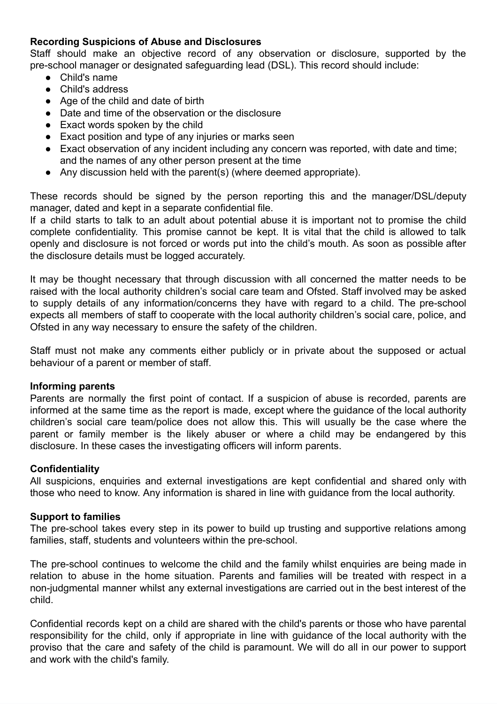# **Recording Suspicions of Abuse and Disclosures**

Staff should make an objective record of any observation or disclosure, supported by the pre-school manager or designated safeguarding lead (DSL). This record should include:

- Child's name
- Child's address
- Age of the child and date of birth
- Date and time of the observation or the disclosure
- Exact words spoken by the child
- Exact position and type of any injuries or marks seen
- Exact observation of any incident including any concern was reported, with date and time; and the names of any other person present at the time
- Any discussion held with the parent(s) (where deemed appropriate).

These records should be signed by the person reporting this and the manager/DSL/deputy manager, dated and kept in a separate confidential file.

If a child starts to talk to an adult about potential abuse it is important not to promise the child complete confidentiality. This promise cannot be kept. It is vital that the child is allowed to talk openly and disclosure is not forced or words put into the child's mouth. As soon as possible after the disclosure details must be logged accurately.

It may be thought necessary that through discussion with all concerned the matter needs to be raised with the local authority children's social care team and Ofsted. Staff involved may be asked to supply details of any information/concerns they have with regard to a child. The pre-school expects all members of staff to cooperate with the local authority children's social care, police, and Ofsted in any way necessary to ensure the safety of the children.

Staff must not make any comments either publicly or in private about the supposed or actual behaviour of a parent or member of staff.

## **Informing parents**

Parents are normally the first point of contact. If a suspicion of abuse is recorded, parents are informed at the same time as the report is made, except where the guidance of the local authority children's social care team/police does not allow this. This will usually be the case where the parent or family member is the likely abuser or where a child may be endangered by this disclosure. In these cases the investigating officers will inform parents.

## **Confidentiality**

All suspicions, enquiries and external investigations are kept confidential and shared only with those who need to know. Any information is shared in line with guidance from the local authority.

## **Support to families**

The pre-school takes every step in its power to build up trusting and supportive relations among families, staff, students and volunteers within the pre-school.

The pre-school continues to welcome the child and the family whilst enquiries are being made in relation to abuse in the home situation. Parents and families will be treated with respect in a non-judgmental manner whilst any external investigations are carried out in the best interest of the child.

Confidential records kept on a child are shared with the child's parents or those who have parental responsibility for the child, only if appropriate in line with guidance of the local authority with the proviso that the care and safety of the child is paramount. We will do all in our power to support and work with the child's family.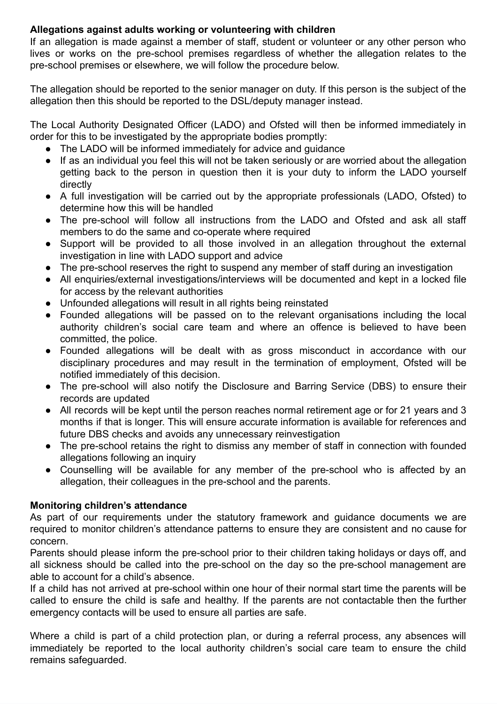# **Allegations against adults working or volunteering with children**

If an allegation is made against a member of staff, student or volunteer or any other person who lives or works on the pre-school premises regardless of whether the allegation relates to the pre-school premises or elsewhere, we will follow the procedure below.

The allegation should be reported to the senior manager on duty. If this person is the subject of the allegation then this should be reported to the DSL/deputy manager instead.

The Local Authority Designated Officer (LADO) and Ofsted will then be informed immediately in order for this to be investigated by the appropriate bodies promptly:

- The LADO will be informed immediately for advice and guidance
- If as an individual you feel this will not be taken seriously or are worried about the allegation getting back to the person in question then it is your duty to inform the LADO yourself directly
- A full investigation will be carried out by the appropriate professionals (LADO, Ofsted) to determine how this will be handled
- The pre-school will follow all instructions from the LADO and Ofsted and ask all staff members to do the same and co-operate where required
- Support will be provided to all those involved in an allegation throughout the external investigation in line with LADO support and advice
- The pre-school reserves the right to suspend any member of staff during an investigation
- All enquiries/external investigations/interviews will be documented and kept in a locked file for access by the relevant authorities
- Unfounded allegations will result in all rights being reinstated
- Founded allegations will be passed on to the relevant organisations including the local authority children's social care team and where an offence is believed to have been committed, the police.
- Founded allegations will be dealt with as gross misconduct in accordance with our disciplinary procedures and may result in the termination of employment, Ofsted will be notified immediately of this decision.
- The pre-school will also notify the Disclosure and Barring Service (DBS) to ensure their records are updated
- All records will be kept until the person reaches normal retirement age or for 21 years and 3 months if that is longer. This will ensure accurate information is available for references and future DBS checks and avoids any unnecessary reinvestigation
- The pre-school retains the right to dismiss any member of staff in connection with founded allegations following an inquiry
- Counselling will be available for any member of the pre-school who is affected by an allegation, their colleagues in the pre-school and the parents.

# **Monitoring children's attendance**

As part of our requirements under the statutory framework and guidance documents we are required to monitor children's attendance patterns to ensure they are consistent and no cause for concern.

Parents should please inform the pre-school prior to their children taking holidays or days off, and all sickness should be called into the pre-school on the day so the pre-school management are able to account for a child's absence.

If a child has not arrived at pre-school within one hour of their normal start time the parents will be called to ensure the child is safe and healthy. If the parents are not contactable then the further emergency contacts will be used to ensure all parties are safe.

Where a child is part of a child protection plan, or during a referral process, any absences will immediately be reported to the local authority children's social care team to ensure the child remains safeguarded.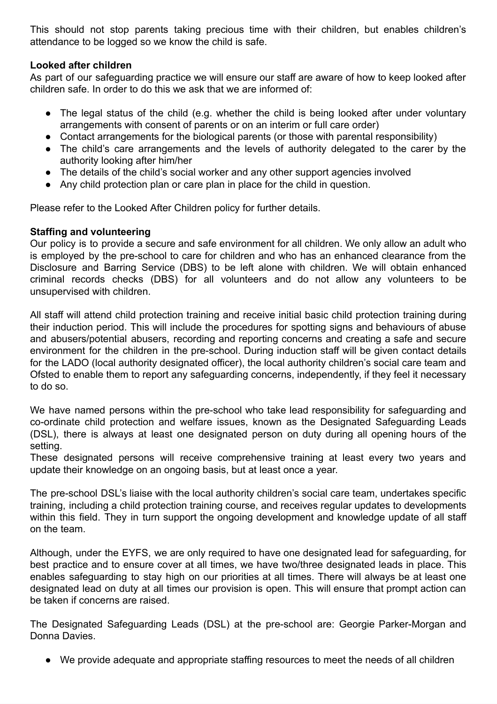This should not stop parents taking precious time with their children, but enables children's attendance to be logged so we know the child is safe.

# **Looked after children**

As part of our safeguarding practice we will ensure our staff are aware of how to keep looked after children safe. In order to do this we ask that we are informed of:

- The legal status of the child (e.g. whether the child is being looked after under voluntary arrangements with consent of parents or on an interim or full care order)
- Contact arrangements for the biological parents (or those with parental responsibility)
- The child's care arrangements and the levels of authority delegated to the carer by the authority looking after him/her
- The details of the child's social worker and any other support agencies involved
- Any child protection plan or care plan in place for the child in question.

Please refer to the Looked After Children policy for further details.

## **Staffing and volunteering**

Our policy is to provide a secure and safe environment for all children. We only allow an adult who is employed by the pre-school to care for children and who has an enhanced clearance from the Disclosure and Barring Service (DBS) to be left alone with children. We will obtain enhanced criminal records checks (DBS) for all volunteers and do not allow any volunteers to be unsupervised with children.

All staff will attend child protection training and receive initial basic child protection training during their induction period. This will include the procedures for spotting signs and behaviours of abuse and abusers/potential abusers, recording and reporting concerns and creating a safe and secure environment for the children in the pre-school. During induction staff will be given contact details for the LADO (local authority designated officer), the local authority children's social care team and Ofsted to enable them to report any safeguarding concerns, independently, if they feel it necessary to do so.

We have named persons within the pre-school who take lead responsibility for safeguarding and co-ordinate child protection and welfare issues, known as the Designated Safeguarding Leads (DSL), there is always at least one designated person on duty during all opening hours of the setting.

These designated persons will receive comprehensive training at least every two years and update their knowledge on an ongoing basis, but at least once a year.

The pre-school DSL's liaise with the local authority children's social care team, undertakes specific training, including a child protection training course, and receives regular updates to developments within this field. They in turn support the ongoing development and knowledge update of all staff on the team.

Although, under the EYFS, we are only required to have one designated lead for safeguarding, for best practice and to ensure cover at all times, we have two/three designated leads in place. This enables safeguarding to stay high on our priorities at all times. There will always be at least one designated lead on duty at all times our provision is open. This will ensure that prompt action can be taken if concerns are raised.

The Designated Safeguarding Leads (DSL) at the pre-school are: Georgie Parker-Morgan and Donna Davies.

● We provide adequate and appropriate staffing resources to meet the needs of all children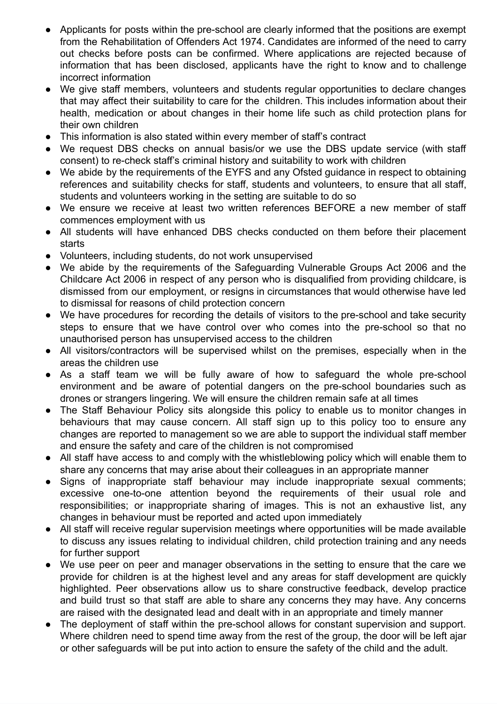- Applicants for posts within the pre-school are clearly informed that the positions are exempt from the Rehabilitation of Offenders Act 1974. Candidates are informed of the need to carry out checks before posts can be confirmed. Where applications are rejected because of information that has been disclosed, applicants have the right to know and to challenge incorrect information
- We give staff members, volunteers and students regular opportunities to declare changes that may affect their suitability to care for the children. This includes information about their health, medication or about changes in their home life such as child protection plans for their own children
- This information is also stated within every member of staff's contract
- We request DBS checks on annual basis/or we use the DBS update service (with staff consent) to re-check staff's criminal history and suitability to work with children
- We abide by the requirements of the EYFS and any Ofsted guidance in respect to obtaining references and suitability checks for staff, students and volunteers, to ensure that all staff, students and volunteers working in the setting are suitable to do so
- We ensure we receive at least two written references BEFORE a new member of staff commences employment with us
- All students will have enhanced DBS checks conducted on them before their placement starts
- Volunteers, including students, do not work unsupervised
- We abide by the requirements of the Safeguarding Vulnerable Groups Act 2006 and the Childcare Act 2006 in respect of any person who is disqualified from providing childcare, is dismissed from our employment, or resigns in circumstances that would otherwise have led to dismissal for reasons of child protection concern
- We have procedures for recording the details of visitors to the pre-school and take security steps to ensure that we have control over who comes into the pre-school so that no unauthorised person has unsupervised access to the children
- All visitors/contractors will be supervised whilst on the premises, especially when in the areas the children use
- As a staff team we will be fully aware of how to safeguard the whole pre-school environment and be aware of potential dangers on the pre-school boundaries such as drones or strangers lingering. We will ensure the children remain safe at all times
- The Staff Behaviour Policy sits alongside this policy to enable us to monitor changes in behaviours that may cause concern. All staff sign up to this policy too to ensure any changes are reported to management so we are able to support the individual staff member and ensure the safety and care of the children is not compromised
- All staff have access to and comply with the whistleblowing policy which will enable them to share any concerns that may arise about their colleagues in an appropriate manner
- Signs of inappropriate staff behaviour may include inappropriate sexual comments; excessive one-to-one attention beyond the requirements of their usual role and responsibilities; or inappropriate sharing of images. This is not an exhaustive list, any changes in behaviour must be reported and acted upon immediately
- All staff will receive regular supervision meetings where opportunities will be made available to discuss any issues relating to individual children, child protection training and any needs for further support
- We use peer on peer and manager observations in the setting to ensure that the care we provide for children is at the highest level and any areas for staff development are quickly highlighted. Peer observations allow us to share constructive feedback, develop practice and build trust so that staff are able to share any concerns they may have. Any concerns are raised with the designated lead and dealt with in an appropriate and timely manner
- The deployment of staff within the pre-school allows for constant supervision and support. Where children need to spend time away from the rest of the group, the door will be left ajar or other safeguards will be put into action to ensure the safety of the child and the adult.